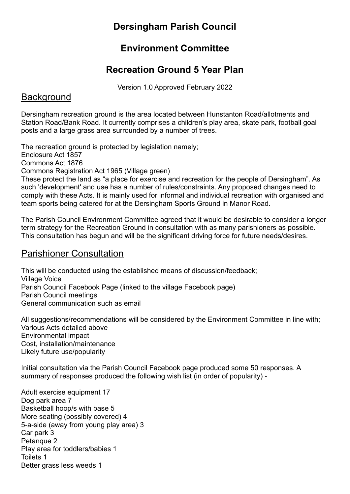## Dersingham Parish Council

## Environment Committee

## Recreation Ground 5 Year Plan

Version 1.0 Approved February 2022

#### **Background**

Dersingham recreation ground is the area located between Hunstanton Road/allotments and Station Road/Bank Road. It currently comprises a children's play area, skate park, football goal posts and a large grass area surrounded by a number of trees.

The recreation ground is protected by legislation namely; Enclosure Act 1857

Commons Act 1876

Commons Registration Act 1965 (Village green)

These protect the land as "a place for exercise and recreation for the people of Dersingham". As such 'development' and use has a number of rules/constraints. Any proposed changes need to comply with these Acts. It is mainly used for informal and individual recreation with organised and team sports being catered for at the Dersingham Sports Ground in Manor Road.

The Parish Council Environment Committee agreed that it would be desirable to consider a longer term strategy for the Recreation Ground in consultation with as many parishioners as possible. This consultation has begun and will be the significant driving force for future needs/desires.

## Parishioner Consultation

This will be conducted using the established means of discussion/feedback; Village Voice Parish Council Facebook Page (linked to the village Facebook page) Parish Council meetings General communication such as email

All suggestions/recommendations will be considered by the Environment Committee in line with; Various Acts detailed above Environmental impact Cost, installation/maintenance Likely future use/popularity

Initial consultation via the Parish Council Facebook page produced some 50 responses. A summary of responses produced the following wish list (in order of popularity) -

Adult exercise equipment 17 Dog park area 7 Basketball hoop/s with base 5 More seating (possibly covered) 4 5-a-side (away from young play area) 3 Car park 3 Petanque 2 Play area for toddlers/babies 1 Toilets 1 Better grass less weeds 1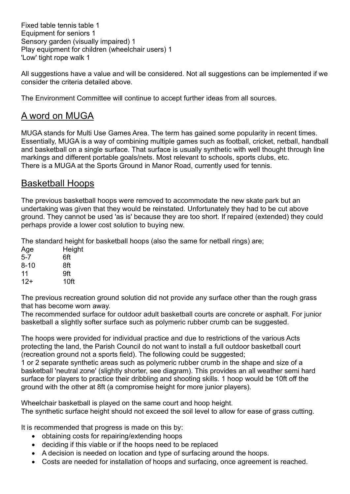Fixed table tennis table 1 Equipment for seniors 1 Sensory garden (visually impaired) 1 Play equipment for children (wheelchair users) 1 'Low' tight rope walk 1

All suggestions have a value and will be considered. Not all suggestions can be implemented if we consider the criteria detailed above.

The Environment Committee will continue to accept further ideas from all sources.

#### A word on MUGA

MUGA stands for Multi Use Games Area. The term has gained some popularity in recent times. Essentially, MUGA is a way of combining multiple games such as football, cricket, netball, handball and basketball on a single surface. That surface is usually synthetic with well thought through line markings and different portable goals/nets. Most relevant to schools, sports clubs, etc. There is a MUGA at the Sports Ground in Manor Road, currently used for tennis.

#### Basketball Hoops

The previous basketball hoops were removed to accommodate the new skate park but an undertaking was given that they would be reinstated. Unfortunately they had to be cut above ground. They cannot be used 'as is' because they are too short. If repaired (extended) they could perhaps provide a lower cost solution to buying new.

The standard height for basketball hoops (also the same for netball rings) are;

| Age     | Height |
|---------|--------|
| $5 - 7$ | 6ft    |
| 8-10    | 8ft    |
| 11      | 9ft    |
| $12+$   | 10ft   |

The previous recreation ground solution did not provide any surface other than the rough grass that has become worn away.

The recommended surface for outdoor adult basketball courts are concrete or asphalt. For junior basketball a slightly softer surface such as polymeric rubber crumb can be suggested.

The hoops were provided for individual practice and due to restrictions of the various Acts protecting the land, the Parish Council do not want to install a full outdoor basketball court (recreation ground not a sports field). The following could be suggested;

1 or 2 separate synthetic areas such as polymeric rubber crumb in the shape and size of a basketball 'neutral zone' (slightly shorter, see diagram). This provides an all weather semi hard surface for players to practice their dribbling and shooting skills. 1 hoop would be 10ft off the ground with the other at 8ft (a compromise height for more junior players).

Wheelchair basketball is played on the same court and hoop height. The synthetic surface height should not exceed the soil level to allow for ease of grass cutting.

It is recommended that progress is made on this by:

- obtaining costs for repairing/extending hoops
- deciding if this viable or if the hoops need to be replaced
- A decision is needed on location and type of surfacing around the hoops.
- Costs are needed for installation of hoops and surfacing, once agreement is reached.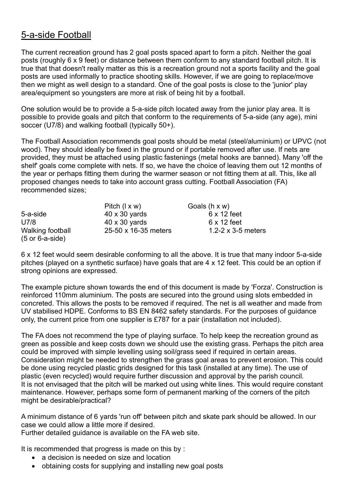## 5-a-side Football

The current recreation ground has 2 goal posts spaced apart to form a pitch. Neither the goal posts (roughly 6 x 9 feet) or distance between them conform to any standard football pitch. It is true that that doesn't really matter as this is a recreation ground not a sports facility and the goal posts are used informally to practice shooting skills. However, if we are going to replace/move then we might as well design to a standard. One of the goal posts is close to the 'junior' play area/equipment so youngsters are more at risk of being hit by a football.

One solution would be to provide a 5-a-side pitch located away from the junior play area. It is possible to provide goals and pitch that conform to the requirements of 5-a-side (any age), mini soccer (U7/8) and walking football (typically 50+).

The Football Association recommends goal posts should be metal (steel/aluminium) or UPVC (not wood). They should ideally be fixed in the ground or if portable removed after use. If nets are provided, they must be attached using plastic fastenings (metal hooks are banned). Many 'off the shelf' goals come complete with nets. If so, we have the choice of leaving them out 12 months of the year or perhaps fitting them during the warmer season or not fitting them at all. This, like all proposed changes needs to take into account grass cutting. Football Association (FA) recommended sizes;

|                                                    | Pitch $(1 \times w)$ | Goals $(h \times w)$      |
|----------------------------------------------------|----------------------|---------------------------|
| 5-a-side                                           | $40 \times 30$ yards | $6 \times 12$ feet        |
| U7/8                                               | $40 \times 30$ yards | $6 \times 12$ feet        |
| Walking football<br>$(5 \text{ or } 6$ -a-side $)$ | 25-50 x 16-35 meters | 1.2-2 $\times$ 3-5 meters |

6 x 12 feet would seem desirable conforming to all the above. It is true that many indoor 5-a-side pitches (played on a synthetic surface) have goals that are 4 x 12 feet. This could be an option if strong opinions are expressed.

The example picture shown towards the end of this document is made by 'Forza'. Construction is reinforced 110mm aluminium. The posts are secured into the ground using slots embedded in concreted. This allows the posts to be removed if required. The net is all weather and made from UV stabilised HDPE. Conforms to BS EN 8462 safety standards. For the purposes of guidance only, the current price from one supplier is £787 for a pair (installation not included).

The FA does not recommend the type of playing surface. To help keep the recreation ground as green as possible and keep costs down we should use the existing grass. Perhaps the pitch area could be improved with simple levelling using soil/grass seed if required in certain areas. Consideration might be needed to strengthen the grass goal areas to prevent erosion. This could be done using recycled plastic grids designed for this task (installed at any time). The use of plastic (even recycled) would require further discussion and approval by the parish council. It is not envisaged that the pitch will be marked out using white lines. This would require constant maintenance. However, perhaps some form of permanent marking of the corners of the pitch might be desirable/practical?

A minimum distance of 6 yards 'run off' between pitch and skate park should be allowed. In our case we could allow a little more if desired. Further detailed guidance is available on the FA web site.

It is recommended that progress is made on this by :

- a decision is needed on size and location
- obtaining costs for supplying and installing new goal posts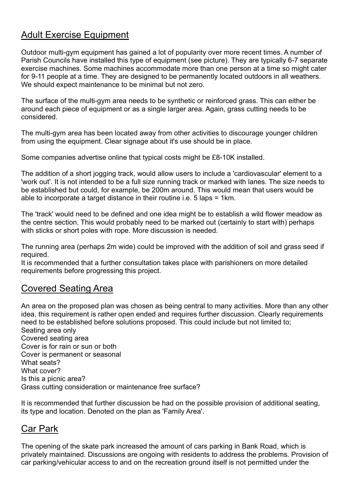## Adult Exercise Equipment

Outdoor multi-gym equipment has gained a lot of popularity over more recent times. A number of Parish Councils have installed this type of equipment (see picture). They are typically 6-7 separate exercise machines. Some machines accommodate more than one person at a time so might cater for 9-11 people at a time. They are designed to be permanently located outdoors in all weathers. We should expect maintenance to be minimal but not zero.

The surface of the multi-gym area needs to be synthetic or reinforced grass. This can either be around each piece of equipment or as a single larger area. Again, grass cutting needs to be considered.

The multi-gym area has been located away from other activities to discourage younger children from using the equipment. Clear signage about it's use should be in place.

Some companies advertise online that typical costs might be £8-10K installed.

The addition of a short jogging track, would allow users to include a 'cardiovascular' element to a 'work out'. It is not intended to be a full size running track or marked with lanes. The size needs to be established but could, for example, be 200m around. This would mean that users would be able to incorporate a target distance in their routine i.e. 5 laps = 1km.

The 'track' would need to be defined and one idea might be to establish a wild flower meadow as the centre section. This would probably need to be marked out (certainly to start with) perhaps with sticks or short poles with rope. More discussion is needed.

The running area (perhaps 2m wide) could be improved with the addition of soil and grass seed if required.

It is recommended that a further consultation takes place with parishioners on more detailed requirements before progressing this project.

#### Covered Seating Area

An area on the proposed plan was chosen as being central to many activities. More than any other idea, this requirement is rather open ended and requires further discussion. Clearly requirements need to be established before solutions proposed. This could include but not limited to; Seating area only Covered seating area Cover is for rain or sun or both Cover is permanent or seasonal What seats? What cover? Is this a picnic area? Grass cutting consideration or maintenance free surface?

It is recommended that further discussion be had on the possible provision of additional seating, its type and location. Denoted on the plan as 'Family Area'.

### Car Park

The opening of the skate park increased the amount of cars parking in Bank Road, which is privately maintained. Discussions are ongoing with residents to address the problems. Provision of car parking/vehicular access to and on the recreation ground itself is not permitted under the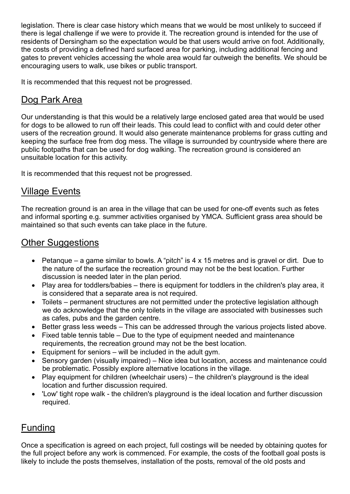legislation. There is clear case history which means that we would be most unlikely to succeed if there is legal challenge if we were to provide it. The recreation ground is intended for the use of residents of Dersingham so the expectation would be that users would arrive on foot. Additionally, the costs of providing a defined hard surfaced area for parking, including additional fencing and gates to prevent vehicles accessing the whole area would far outweigh the benefits. We should be encouraging users to walk, use bikes or public transport.

It is recommended that this request not be progressed.

## Dog Park Area

Our understanding is that this would be a relatively large enclosed gated area that would be used for dogs to be allowed to run off their leads. This could lead to conflict with and could deter other users of the recreation ground. It would also generate maintenance problems for grass cutting and keeping the surface free from dog mess. The village is surrounded by countryside where there are public footpaths that can be used for dog walking. The recreation ground is considered an unsuitable location for this activity.

It is recommended that this request not be progressed.

## Village Events

The recreation ground is an area in the village that can be used for one-off events such as fetes and informal sporting e.g. summer activities organised by YMCA. Sufficient grass area should be maintained so that such events can take place in the future.

# **Other Suggestions**

- Petanque a game similar to bowls. A "pitch" is  $4 \times 15$  metres and is gravel or dirt. Due to the nature of the surface the recreation ground may not be the best location. Further discussion is needed later in the plan period.
- Play area for toddlers/babies there is equipment for toddlers in the children's play area, it is considered that a separate area is not required.
- Toilets permanent structures are not permitted under the protective legislation although we do acknowledge that the only toilets in the village are associated with businesses such as cafes, pubs and the garden centre.
- Better grass less weeds This can be addressed through the various projects listed above.
- Fixed table tennis table Due to the type of equipment needed and maintenance requirements, the recreation ground may not be the best location.
- Equipment for seniors will be included in the adult gym.
- Sensory garden (visually impaired) Nice idea but location, access and maintenance could be problematic. Possibly explore alternative locations in the village.
- Play equipment for children (wheelchair users) the children's playground is the ideal location and further discussion required.
- 'Low' tight rope walk the children's playground is the ideal location and further discussion required.

## Funding

Once a specification is agreed on each project, full costings will be needed by obtaining quotes for the full project before any work is commenced. For example, the costs of the football goal posts is likely to include the posts themselves, installation of the posts, removal of the old posts and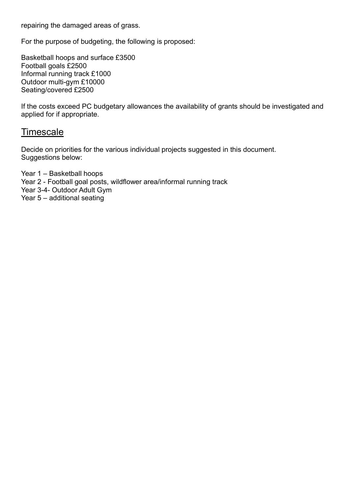repairing the damaged areas of grass.

For the purpose of budgeting, the following is proposed:

Basketball hoops and surface £3500 Football goals £2500 Informal running track £1000 Outdoor multi-gym £10000 Seating/covered £2500

If the costs exceed PC budgetary allowances the availability of grants should be investigated and applied for if appropriate.

## **Timescale**

Decide on priorities for the various individual projects suggested in this document. Suggestions below:

Year 1 – Basketball hoops Year 2 - Football goal posts, wildflower area/informal running track Year 3-4- Outdoor Adult Gym Year 5 – additional seating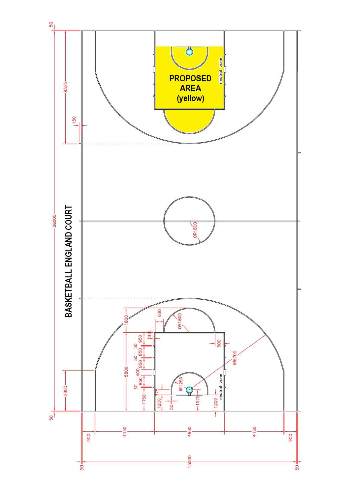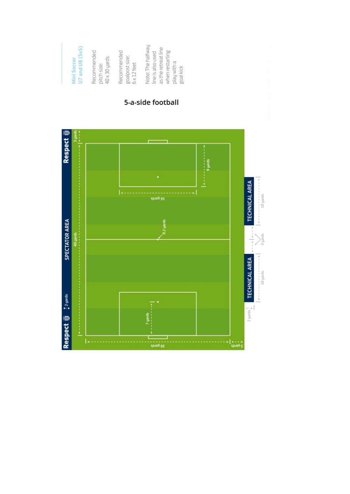

#### 5-a-side football

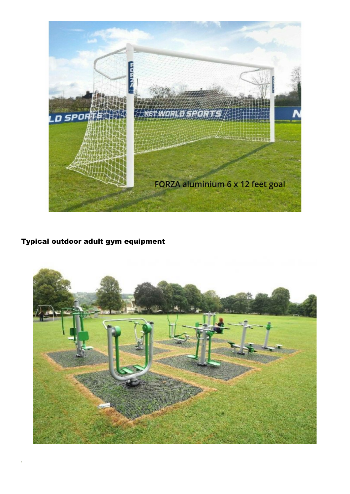

## Typical outdoor adult gym equipment

i<br>I